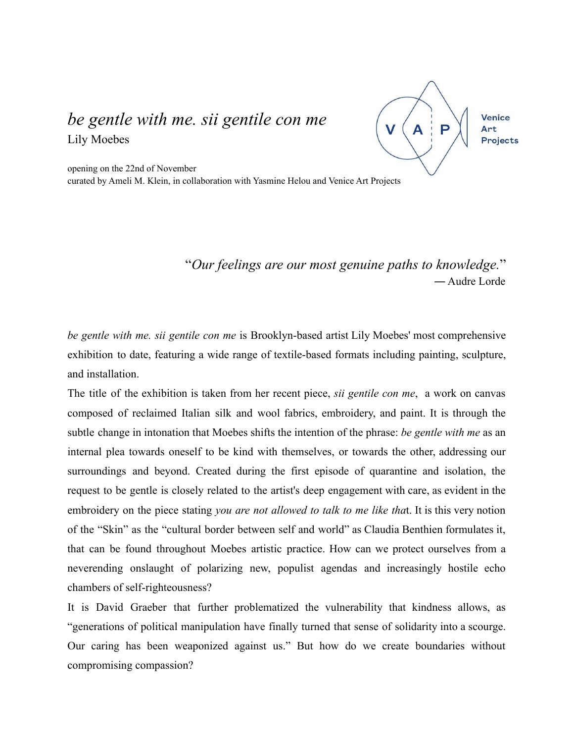## *be gentle with me. sii gentile con me* Lily Moebes

Venice  $\overline{\mathsf{V}}$ Art **Projects** 

opening on the 22nd of November curated by Ameli M. Klein, in collaboration with Yasmine Helou and Venice Art Projects

## "*Our feelings are our most genuine paths to knowledge.*" ― Audre Lorde

*be gentle with me. sii gentile con me* is Brooklyn-based artist Lily Moebes' most comprehensive exhibition to date, featuring a wide range of textile-based formats including painting, sculpture, and installation.

The title of the exhibition is taken from her recent piece, *sii gentile con me*, a work on canvas composed of reclaimed Italian silk and wool fabrics, embroidery, and paint. It is through the subtle change in intonation that Moebes shifts the intention of the phrase: *be gentle with me* as an internal plea towards oneself to be kind with themselves, or towards the other, addressing our surroundings and beyond. Created during the first episode of quarantine and isolation, the request to be gentle is closely related to the artist's deep engagement with care, as evident in the embroidery on the piece stating *you are not allowed to talk to me like tha*t. It is this very notion of the "Skin" as the "cultural border between self and world" as Claudia Benthien formulates it, that can be found throughout Moebes artistic practice. How can we protect ourselves from a neverending onslaught of polarizing new, populist agendas and increasingly hostile echo chambers of self-righteousness?

It is David Graeber that further problematized the vulnerability that kindness allows, as "generations of political manipulation have finally turned that sense of solidarity into a scourge. Our caring has been weaponized against us." But how do we create boundaries without compromising compassion?